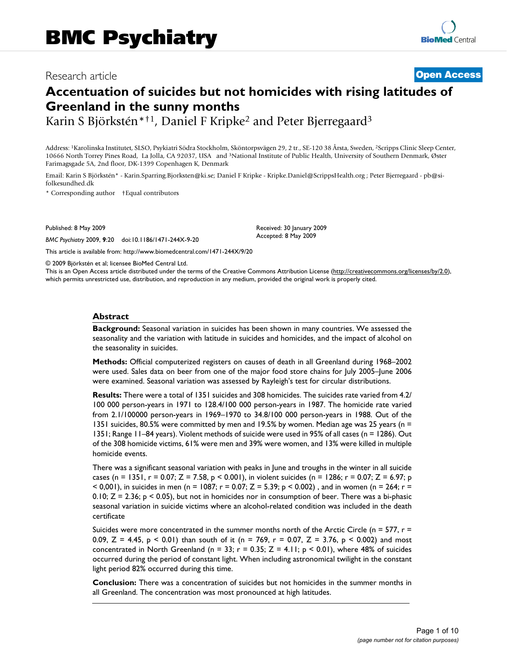## Research article **[Open Access](http://www.biomedcentral.com/info/about/charter/)**

# **Accentuation of suicides but not homicides with rising latitudes of Greenland in the sunny months**

Karin S Björkstén\*†1, Daniel F Kripke<sup>2</sup> and Peter Bjerregaard<sup>3</sup>

Address: 1Karolinska Institutet, SLSO, Psykiatri Södra Stockholm, Sköntorpsvägen 29, 2 tr., SE-120 38 Årsta, Sweden, 2Scripps Clinic Sleep Center, 10666 North Torrey Pines Road, La Jolla, CA 92037, USA and 3National Institute of Public Health, University of Southern Denmark, Øster Farimagsgade 5A, 2nd floor, DK-1399 Copenhagen K, Denmark

Email: Karin S Björkstén\* - Karin.Sparring.Bjorksten@ki.se; Daniel F Kripke - Kripke.Daniel@ScrippsHealth.org ; Peter Bjerregaard - pb@sifolkesundhed.dk

\* Corresponding author †Equal contributors

Published: 8 May 2009

*BMC Psychiatry* 2009, **9**:20 doi:10.1186/1471-244X-9-20

[This article is available from: http://www.biomedcentral.com/1471-244X/9/20](http://www.biomedcentral.com/1471-244X/9/20)

© 2009 Björkstén et al; licensee BioMed Central Ltd.

This is an Open Access article distributed under the terms of the Creative Commons Attribution License [\(http://creativecommons.org/licenses/by/2.0\)](http://creativecommons.org/licenses/by/2.0), which permits unrestricted use, distribution, and reproduction in any medium, provided the original work is properly cited.

Received: 30 January 2009 Accepted: 8 May 2009

#### **Abstract**

**Background:** Seasonal variation in suicides has been shown in many countries. We assessed the seasonality and the variation with latitude in suicides and homicides, and the impact of alcohol on the seasonality in suicides.

**Methods:** Official computerized registers on causes of death in all Greenland during 1968–2002 were used. Sales data on beer from one of the major food store chains for July 2005–June 2006 were examined. Seasonal variation was assessed by Rayleigh's test for circular distributions.

**Results:** There were a total of 1351 suicides and 308 homicides. The suicides rate varied from 4.2/ 100 000 person-years in 1971 to 128.4/100 000 person-years in 1987. The homicide rate varied from 2.1/100000 person-years in 1969–1970 to 34.8/100 000 person-years in 1988. Out of the 1351 suicides, 80.5% were committed by men and 19.5% by women. Median age was 25 years (n = 1351; Range 11–84 years). Violent methods of suicide were used in 95% of all cases (n = 1286). Out of the 308 homicide victims, 61% were men and 39% were women, and 13% were killed in multiple homicide events.

There was a significant seasonal variation with peaks in June and troughs in the winter in all suicide cases (n = 1351, r = 0.07; Z = 7.58, p < 0.001), in violent suicides (n = 1286; r = 0.07; Z = 6.97; p  $<$  0,001), in suicides in men (n = 1087; r = 0.07; Z = 5.39; p  $<$  0.002), and in women (n = 264; r = 0.10;  $Z = 2.36$ ;  $p < 0.05$ ), but not in homicides nor in consumption of beer. There was a bi-phasic seasonal variation in suicide victims where an alcohol-related condition was included in the death certificate

Suicides were more concentrated in the summer months north of the Arctic Circle (n = 577,  $r =$ 0.09, Z = 4.45, p < 0.01) than south of it (n = 769, r = 0.07, Z = 3.76, p < 0.002) and most concentrated in North Greenland (n = 33;  $r = 0.35$ ;  $Z = 4.11$ ;  $p < 0.01$ ), where 48% of suicides occurred during the period of constant light. When including astronomical twilight in the constant light period 82% occurred during this time.

**Conclusion:** There was a concentration of suicides but not homicides in the summer months in all Greenland. The concentration was most pronounced at high latitudes.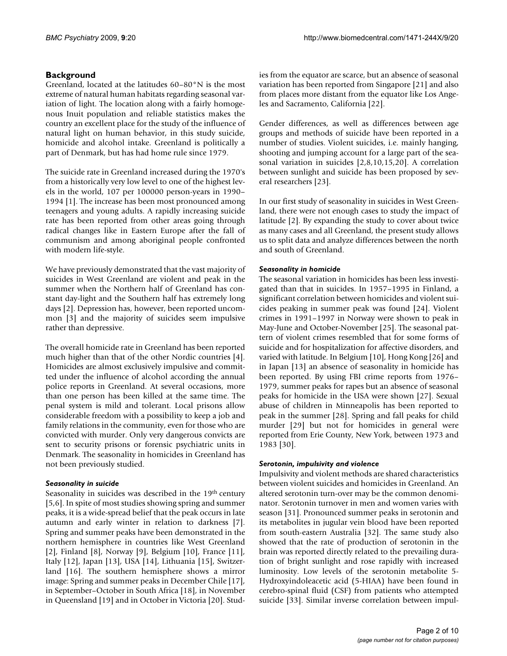## **Background**

Greenland, located at the latitudes 60–80°N is the most extreme of natural human habitats regarding seasonal variation of light. The location along with a fairly homogenous Inuit population and reliable statistics makes the country an excellent place for the study of the influence of natural light on human behavior, in this study suicide, homicide and alcohol intake. Greenland is politically a part of Denmark, but has had home rule since 1979.

The suicide rate in Greenland increased during the 1970's from a historically very low level to one of the highest levels in the world, 107 per 100000 person-years in 1990– 1994 [1]. The increase has been most pronounced among teenagers and young adults. A rapidly increasing suicide rate has been reported from other areas going through radical changes like in Eastern Europe after the fall of communism and among aboriginal people confronted with modern life-style.

We have previously demonstrated that the vast majority of suicides in West Greenland are violent and peak in the summer when the Northern half of Greenland has constant day-light and the Southern half has extremely long days [2]. Depression has, however, been reported uncommon [3] and the majority of suicides seem impulsive rather than depressive.

The overall homicide rate in Greenland has been reported much higher than that of the other Nordic countries [4]. Homicides are almost exclusively impulsive and committed under the influence of alcohol according the annual police reports in Greenland. At several occasions, more than one person has been killed at the same time. The penal system is mild and tolerant. Local prisons allow considerable freedom with a possibility to keep a job and family relations in the community, even for those who are convicted with murder. Only very dangerous convicts are sent to security prisons or forensic psychiatric units in Denmark. The seasonality in homicides in Greenland has not been previously studied.

## *Seasonality in suicide*

Seasonality in suicides was described in the 19<sup>th</sup> century [5,6]. In spite of most studies showing spring and summer peaks, it is a wide-spread belief that the peak occurs in late autumn and early winter in relation to darkness [7]. Spring and summer peaks have been demonstrated in the northern hemisphere in countries like West Greenland [2], Finland [8], Norway [9], Belgium [10], France [11], Italy [12], Japan [13], USA [14], Lithuania [15], Switzerland [16]. The southern hemisphere shows a mirror image: Spring and summer peaks in December Chile [17], in September–October in South Africa [18], in November in Queensland [19] and in October in Victoria [20]. Studies from the equator are scarce, but an absence of seasonal variation has been reported from Singapore [21] and also from places more distant from the equator like Los Angeles and Sacramento, California [22].

Gender differences, as well as differences between age groups and methods of suicide have been reported in a number of studies. Violent suicides, i.e. mainly hanging, shooting and jumping account for a large part of the seasonal variation in suicides [2,8,10,15,20]. A correlation between sunlight and suicide has been proposed by several researchers [23].

In our first study of seasonality in suicides in West Greenland, there were not enough cases to study the impact of latitude [2]. By expanding the study to cover about twice as many cases and all Greenland, the present study allows us to split data and analyze differences between the north and south of Greenland.

## *Seasonality in homicide*

The seasonal variation in homicides has been less investigated than that in suicides. In 1957–1995 in Finland, a significant correlation between homicides and violent suicides peaking in summer peak was found [24]. Violent crimes in 1991–1997 in Norway were shown to peak in May-June and October-November [25]. The seasonal pattern of violent crimes resembled that for some forms of suicide and for hospitalization for affective disorders, and varied with latitude. In Belgium [10], Hong Kong [26] and in Japan [13] an absence of seasonality in homicide has been reported. By using FBI crime reports from 1976– 1979, summer peaks for rapes but an absence of seasonal peaks for homicide in the USA were shown [27]. Sexual abuse of children in Minneapolis has been reported to peak in the summer [28]. Spring and fall peaks for child murder [29] but not for homicides in general were reported from Erie County, New York, between 1973 and 1983 [30].

#### *Serotonin, impulsivity and violence*

Impulsivity and violent methods are shared characteristics between violent suicides and homicides in Greenland. An altered serotonin turn-over may be the common denominator. Serotonin turnover in men and women varies with season [31]. Pronounced summer peaks in serotonin and its metabolites in jugular vein blood have been reported from south-eastern Australia [32]. The same study also showed that the rate of production of serotonin in the brain was reported directly related to the prevailing duration of bright sunlight and rose rapidly with increased luminosity. Low levels of the serotonin metabolite 5- Hydroxyindoleacetic acid (5-HIAA) have been found in cerebro-spinal fluid (CSF) from patients who attempted suicide [33]. Similar inverse correlation between impul-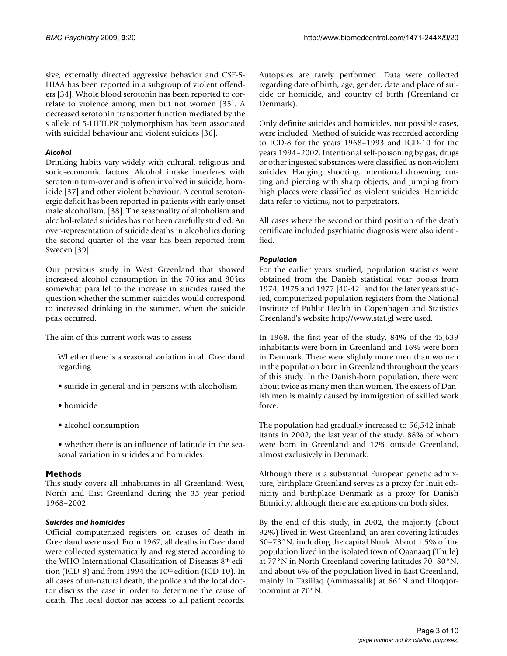sive, externally directed aggressive behavior and CSF-5- HIAA has been reported in a subgroup of violent offenders [34]. Whole blood serotonin has been reported to correlate to violence among men but not women [35]. A decreased serotonin transporter function mediated by the s allele of 5-HTTLPR polymorphism has been associated with suicidal behaviour and violent suicides [36].

## *Alcohol*

Drinking habits vary widely with cultural, religious and socio-economic factors. Alcohol intake interferes with serotonin turn-over and is often involved in suicide, homicide [37] and other violent behaviour. A central serotonergic deficit has been reported in patients with early onset male alcoholism, [38]. The seasonality of alcoholism and alcohol-related suicides has not been carefully studied. An over-representation of suicide deaths in alcoholics during the second quarter of the year has been reported from Sweden [39].

Our previous study in West Greenland that showed increased alcohol consumption in the 70'ies and 80'ies somewhat parallel to the increase in suicides raised the question whether the summer suicides would correspond to increased drinking in the summer, when the suicide peak occurred.

The aim of this current work was to assess

Whether there is a seasonal variation in all Greenland regarding

- suicide in general and in persons with alcoholism
- homicide
- alcohol consumption
- whether there is an influence of latitude in the seasonal variation in suicides and homicides.

## **Methods**

This study covers all inhabitants in all Greenland: West, North and East Greenland during the 35 year period 1968–2002.

## *Suicides and homicides*

Official computerized registers on causes of death in Greenland were used. From 1967, all deaths in Greenland were collected systematically and registered according to the WHO International Classification of Diseases 8th edition (ICD-8) and from 1994 the 10<sup>th</sup> edition (ICD-10). In all cases of un-natural death, the police and the local doctor discuss the case in order to determine the cause of death. The local doctor has access to all patient records.

Autopsies are rarely performed. Data were collected regarding date of birth, age, gender, date and place of suicide or homicide, and country of birth (Greenland or Denmark).

Only definite suicides and homicides, not possible cases, were included. Method of suicide was recorded according to ICD-8 for the years 1968–1993 and ICD-10 for the years 1994–2002. Intentional self-poisoning by gas, drugs or other ingested substances were classified as non-violent suicides. Hanging, shooting, intentional drowning, cutting and piercing with sharp objects, and jumping from high places were classified as violent suicides. Homicide data refer to victims, not to perpetrators.

All cases where the second or third position of the death certificate included psychiatric diagnosis were also identified.

## *Population*

For the earlier years studied, population statistics were obtained from the Danish statistical year books from 1974, 1975 and 1977 [40-42] and for the later years studied, computerized population registers from the National Institute of Public Health in Copenhagen and Statistics Greenland's website <http://www.stat.gl> were used.

In 1968, the first year of the study, 84% of the 45,639 inhabitants were born in Greenland and 16% were born in Denmark. There were slightly more men than women in the population born in Greenland throughout the years of this study. In the Danish-born population, there were about twice as many men than women. The excess of Danish men is mainly caused by immigration of skilled work force.

The population had gradually increased to 56,542 inhabitants in 2002, the last year of the study, 88% of whom were born in Greenland and 12% outside Greenland, almost exclusively in Denmark.

Although there is a substantial European genetic admixture, birthplace Greenland serves as a proxy for Inuit ethnicity and birthplace Denmark as a proxy for Danish Ethnicity, although there are exceptions on both sides.

By the end of this study, in 2002, the majority (about 92%) lived in West Greenland, an area covering latitudes 60–73°N, including the capital Nuuk. About 1.5% of the population lived in the isolated town of Qaanaaq (Thule) at 77°N in North Greenland covering latitudes 70–80°N, and about 6% of the population lived in East Greenland, mainly in Tasiilaq (Ammassalik) at 66°N and Illoqqortoormiut at 70°N.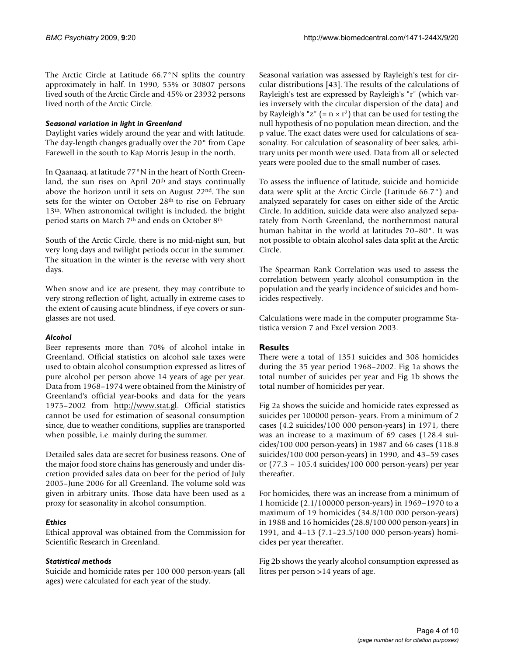The Arctic Circle at Latitude 66.7°N splits the country approximately in half. In 1990, 55% or 30807 persons lived south of the Arctic Circle and 45% or 23932 persons lived north of the Arctic Circle.

#### *Seasonal variation in light in Greenland*

Daylight varies widely around the year and with latitude. The day-length changes gradually over the 20° from Cape Farewell in the south to Kap Morris Jesup in the north.

In Qaanaaq, at latitude 77°N in the heart of North Greenland, the sun rises on April 20<sup>th</sup> and stays continually above the horizon until it sets on August 22nd. The sun sets for the winter on October 28<sup>th</sup> to rise on February 13<sup>th</sup>. When astronomical twilight is included, the bright period starts on March 7th and ends on October 8th

South of the Arctic Circle, there is no mid-night sun, but very long days and twilight periods occur in the summer. The situation in the winter is the reverse with very short days.

When snow and ice are present, they may contribute to very strong reflection of light, actually in extreme cases to the extent of causing acute blindness, if eye covers or sunglasses are not used.

## *Alcohol*

Beer represents more than 70% of alcohol intake in Greenland. Official statistics on alcohol sale taxes were used to obtain alcohol consumption expressed as litres of pure alcohol per person above 14 years of age per year. Data from 1968–1974 were obtained from the Ministry of Greenland's official year-books and data for the years 1975–2002 from [http://www.stat.gl.](http://www.stat.gl) Official statistics cannot be used for estimation of seasonal consumption since, due to weather conditions, supplies are transported when possible, i.e. mainly during the summer.

Detailed sales data are secret for business reasons. One of the major food store chains has generously and under discretion provided sales data on beer for the period of July 2005–June 2006 for all Greenland. The volume sold was given in arbitrary units. Those data have been used as a proxy for seasonality in alcohol consumption.

## *Ethics*

Ethical approval was obtained from the Commission for Scientific Research in Greenland.

## *Statistical methods*

Suicide and homicide rates per 100 000 person-years (all ages) were calculated for each year of the study.

Seasonal variation was assessed by Rayleigh's test for circular distributions [43]. The results of the calculations of Rayleigh's test are expressed by Rayleigh's "r" (which varies inversely with the circular dispersion of the data) and by Rayleigh's "z" (=  $n \times r^2$ ) that can be used for testing the null hypothesis of no population mean direction, and the p value. The exact dates were used for calculations of seasonality. For calculation of seasonality of beer sales, arbitrary units per month were used. Data from all or selected years were pooled due to the small number of cases.

To assess the influence of latitude, suicide and homicide data were split at the Arctic Circle (Latitude 66.7°) and analyzed separately for cases on either side of the Arctic Circle. In addition, suicide data were also analyzed separately from North Greenland, the northernmost natural human habitat in the world at latitudes 70–80°. It was not possible to obtain alcohol sales data split at the Arctic Circle.

The Spearman Rank Correlation was used to assess the correlation between yearly alcohol consumption in the population and the yearly incidence of suicides and homicides respectively.

Calculations were made in the computer programme Statistica version 7 and Excel version 2003.

## **Results**

There were a total of 1351 suicides and 308 homicides during the 35 year period 1968–2002. Fig 1a shows the total number of suicides per year and Fig 1b shows the total number of homicides per year.

Fig 2a shows the suicide and homicide rates expressed as suicides per 100000 person- years. From a minimum of 2 cases (4.2 suicides/100 000 person-years) in 1971, there was an increase to a maximum of 69 cases (128.4 suicides/100 000 person-years) in 1987 and 66 cases (118.8 suicides/100 000 person-years) in 1990, and 43–59 cases or (77.3 – 105.4 suicides/100 000 person-years) per year thereafter.

For homicides, there was an increase from a minimum of 1 homicide (2.1/100000 person-years) in 1969–1970 to a maximum of 19 homicides (34.8/100 000 person-years) in 1988 and 16 homicides (28.8/100 000 person-years) in 1991, and 4–13 (7.1–23.5/100 000 person-years) homicides per year thereafter.

Fig 2b shows the yearly alcohol consumption expressed as litres per person >14 years of age.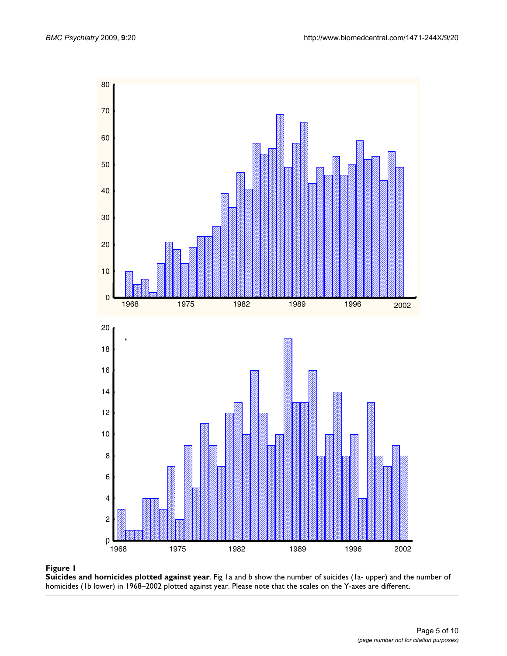

#### **Figure 1**

**Suicides and homicides plotted against year**. Fig 1a and b show the number of suicides (1a- upper) and the number of homicides (1b lower) in 1968–2002 plotted against year. Please note that the scales on the Y-axes are different.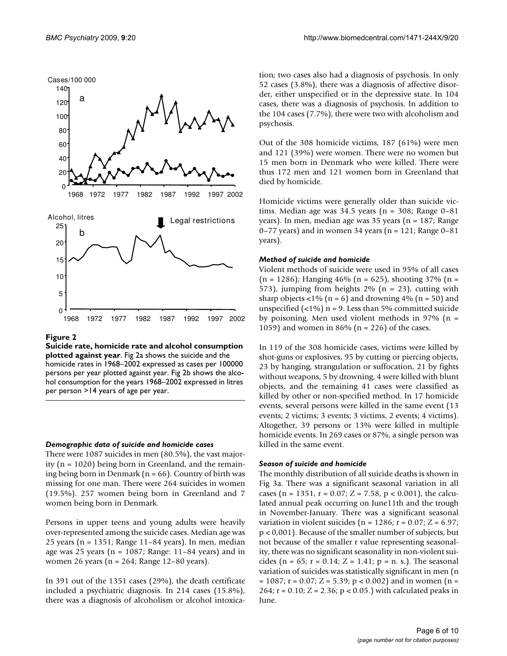

#### Figure 2

**Suicide rate, homicide rate and alcohol consumption plotted against year**. Fig 2a shows the suicide and the homicide rates in 1968–2002 expressed as cases per 100000 persons per year plotted against year. Fig 2b shows the alcohol consumption for the years 1968–2002 expressed in litres per person >14 years of age per year.

#### *Demographic data of suicide and homicide cases*

There were 1087 suicides in men (80.5%), the vast majority (n = 1020) being born in Greenland, and the remaining being born in Denmark ( $n = 66$ ). Country of birth was missing for one man. There were 264 suicides in women (19.5%). 257 women being born in Greenland and 7 women being born in Denmark.

Persons in upper teens and young adults were heavily over-represented among the suicide cases. Median age was 25 years (n = 1351; Range 11–84 years). In men, median age was 25 years ( $n = 1087$ ; Range: 11–84 years) and in women 26 years (n = 264; Range 12–80 years).

In 391 out of the 1351 cases (29%), the death certificate included a psychiatric diagnosis. In 214 cases (15.8%), there was a diagnosis of alcoholism or alcohol intoxication; two cases also had a diagnosis of psychosis. In only 52 cases (3.8%), there was a diagnosis of affective disorder, either unspecified or in the depressive state. In 104 cases, there was a diagnosis of psychosis. In addition to the 104 cases (7.7%), there were two with alcoholism and psychosis.

Out of the 308 homicide victims, 187 (61%) were men and 121 (39%) were women. There were no women but 15 men born in Denmark who were killed. There were thus 172 men and 121 women born in Greenland that died by homicide.

Homicide victims were generally older than suicide victims. Median age was 34.5 years (n = 308; Range 0–81 years). In men, median age was 35 years (n = 187; Range 0–77 years) and in women 34 years ( $n = 121$ ; Range 0–81 years).

#### *Method of suicide and homicide*

Violent methods of suicide were used in 95% of all cases  $(n = 1286)$ ; Hanging 46%  $(n = 625)$ , shooting 37%  $(n = 1286)$ 573), jumping from heights  $2\%$  (n = 23), cutting with sharp objects  $\langle 1\%$  (n = 6) and drowning 4% (n = 50) and unspecified  $(\langle 1\% \rangle)$  n = 9. Less than 5% committed suicide by poisoning. Men used violent methods in 97% (n = 1059) and women in 86% ( $n = 226$ ) of the cases.

In 119 of the 308 homicide cases, victims were killed by shot-guns or explosives, 95 by cutting or piercing objects, 23 by hanging, strangulation or suffocation, 21 by fights without weapons, 5 by drowning, 4 were killed with blunt objects, and the remaining 41 cases were classified as killed by other or non-specified method. In 17 homicide events, several persons were killed in the same event (13 events; 2 victims; 3 events; 3 victims, 2 events; 4 victims). Altogether, 39 persons or 13% were killed in multiple homicide events. In 269 cases or 87%, a single person was killed in the same event.

#### *Season of suicide and homicide*

The monthly distribution of all suicide deaths is shown in Fig 3a. There was a significant seasonal variation in all cases (n = 1351, r = 0.07; Z = 7.58, p < 0.001), the calculated annual peak occurring on June11th and the trough in November-January. There was a significant seasonal variation in violent suicides ( $n = 1286$ ;  $r = 0.07$ ;  $Z = 6.97$ ; p < 0,001). Because of the smaller number of subjects, but not because of the smaller r value representing seasonality, there was no significant seasonality in non-violent suicides (n =  $65$ ; r =  $0.14$ ; Z =  $1.41$ ; p = n. s.). The seasonal variation of suicides was statistically significant in men (n  $= 1087$ ; r = 0.07; Z = 5.39; p < 0.002) and in women (n = 264;  $r = 0.10$ ;  $Z = 2.36$ ;  $p < 0.05$ .) with calculated peaks in June.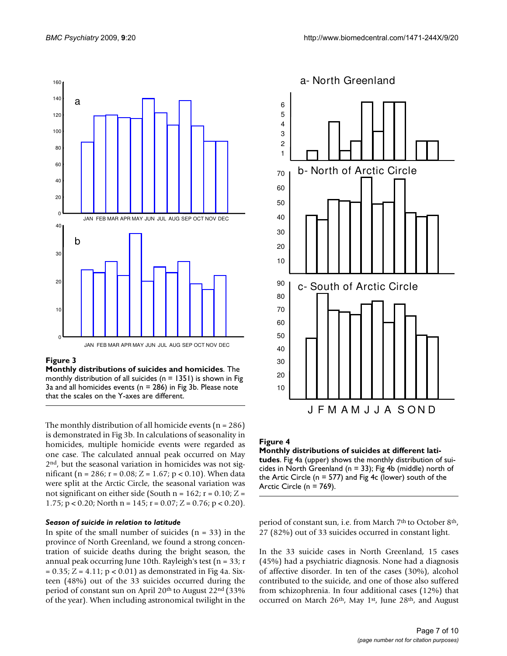

#### **Figure 3**

**Monthly distributions of suicides and homicides**. The monthly distribution of all suicides ( $n = 1351$ ) is shown in Fig 3a and all homicides events ( $n = 286$ ) in Fig 3b. Please note that the scales on the Y-axes are different.

The monthly distribution of all homicide events ( $n = 286$ ) is demonstrated in Fig 3b. In calculations of seasonality in homicides, multiple homicide events were regarded as one case. The calculated annual peak occurred on May 2nd, but the seasonal variation in homicides was not significant (n = 286; r = 0.08; Z = 1.67; p < 0.10). When data were split at the Arctic Circle, the seasonal variation was not significant on either side (South  $n = 162$ ;  $r = 0.10$ ;  $Z =$ 1.75;  $p < 0.20$ ; North  $n = 145$ ;  $r = 0.07$ ;  $Z = 0.76$ ;  $p < 0.20$ ).

#### *Season of suicide in relation to latitude*

In spite of the small number of suicides  $(n = 33)$  in the province of North Greenland, we found a strong concentration of suicide deaths during the bright season, the annual peak occurring June 10th. Rayleigh's test ( $n = 33$ ; r  $= 0.35; Z = 4.11; p < 0.01$  as demonstrated in Fig 4a. Sixteen (48%) out of the 33 suicides occurred during the period of constant sun on April 20<sup>th</sup> to August 22<sup>nd</sup> (33%) of the year). When including astronomical twilight in the



## Figure 4

**Monthly distributions of suicides at different latitudes**. Fig 4a (upper) shows the monthly distribution of suicides in North Greenland ( $n = 33$ ); Fig 4b (middle) north of the Artic Circle (n = 577) and Fig 4c (lower) south of the Arctic Circle (n = 769).

period of constant sun, i.e. from March 7<sup>th</sup> to October 8<sup>th</sup>, 27 (82%) out of 33 suicides occurred in constant light.

In the 33 suicide cases in North Greenland, 15 cases (45%) had a psychiatric diagnosis. None had a diagnosis of affective disorder. In ten of the cases (30%), alcohol contributed to the suicide, and one of those also suffered from schizophrenia. In four additional cases (12%) that occurred on March 26th, May 1st, June 28th, and August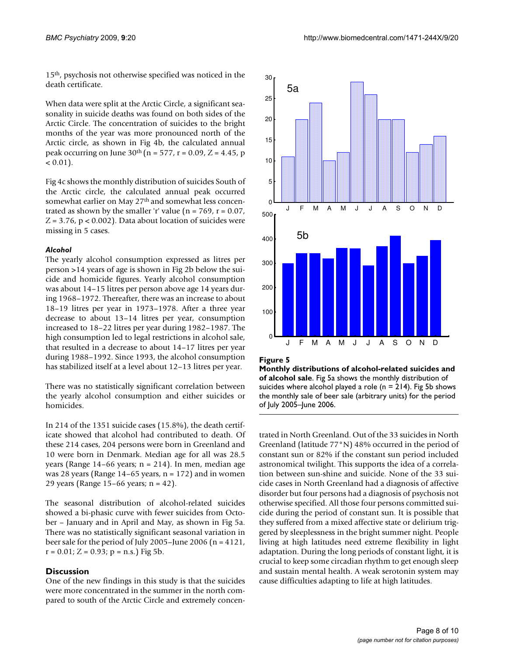15th, psychosis not otherwise specified was noticed in the death certificate.

When data were split at the Arctic Circle, a significant seasonality in suicide deaths was found on both sides of the Arctic Circle. The concentration of suicides to the bright months of the year was more pronounced north of the Arctic circle, as shown in Fig 4b, the calculated annual peak occurring on June  $30^{th}$  (n = 577, r = 0.09, Z = 4.45, p  $< 0.01$ ).

Fig 4c shows the monthly distribution of suicides South of the Arctic circle, the calculated annual peak occurred somewhat earlier on May 27<sup>th</sup> and somewhat less concentrated as shown by the smaller 'r' value ( $n = 769$ ,  $r = 0.07$ ,  $Z = 3.76$ ,  $p < 0.002$ ). Data about location of suicides were missing in 5 cases.

#### *Alcohol*

The yearly alcohol consumption expressed as litres per person >14 years of age is shown in Fig 2b below the suicide and homicide figures. Yearly alcohol consumption was about 14–15 litres per person above age 14 years during 1968–1972. Thereafter, there was an increase to about 18–19 litres per year in 1973–1978. After a three year decrease to about 13–14 litres per year, consumption increased to 18–22 litres per year during 1982–1987. The high consumption led to legal restrictions in alcohol sale, that resulted in a decrease to about 14–17 litres per year during 1988–1992. Since 1993, the alcohol consumption has stabilized itself at a level about 12–13 litres per year.

There was no statistically significant correlation between the yearly alcohol consumption and either suicides or homicides.

In 214 of the 1351 suicide cases (15.8%), the death certificate showed that alcohol had contributed to death. Of these 214 cases, 204 persons were born in Greenland and 10 were born in Denmark. Median age for all was 28.5 years (Range  $14-66$  years; n = 214). In men, median age was 28 years (Range  $14-65$  years,  $n = 172$ ) and in women 29 years (Range 15–66 years; n = 42).

The seasonal distribution of alcohol-related suicides showed a bi-phasic curve with fewer suicides from October – January and in April and May, as shown in Fig 5a. There was no statistically significant seasonal variation in beer sale for the period of July 2005–June 2006 (n = 4121,  $r = 0.01$ ;  $Z = 0.93$ ;  $p = n.s$ .) Fig 5b.

#### **Discussion**

One of the new findings in this study is that the suicides were more concentrated in the summer in the north compared to south of the Arctic Circle and extremely concen-



#### Figure 5

**Monthly distributions of alcohol-related suicides and of alcohol sale**. Fig 5a shows the monthly distribution of suicides where alcohol played a role ( $n = 214$ ). Fig 5b shows the monthly sale of beer sale (arbitrary units) for the period of July 2005–June 2006.

trated in North Greenland. Out of the 33 suicides in North Greenland (latitude 77°N) 48% occurred in the period of constant sun or 82% if the constant sun period included astronomical twilight. This supports the idea of a correlation between sun-shine and suicide. None of the 33 suicide cases in North Greenland had a diagnosis of affective disorder but four persons had a diagnosis of psychosis not otherwise specified. All those four persons committed suicide during the period of constant sun. It is possible that they suffered from a mixed affective state or delirium triggered by sleeplessness in the bright summer night. People living at high latitudes need extreme flexibility in light adaptation. During the long periods of constant light, it is crucial to keep some circadian rhythm to get enough sleep and sustain mental health. A weak serotonin system may cause difficulties adapting to life at high latitudes.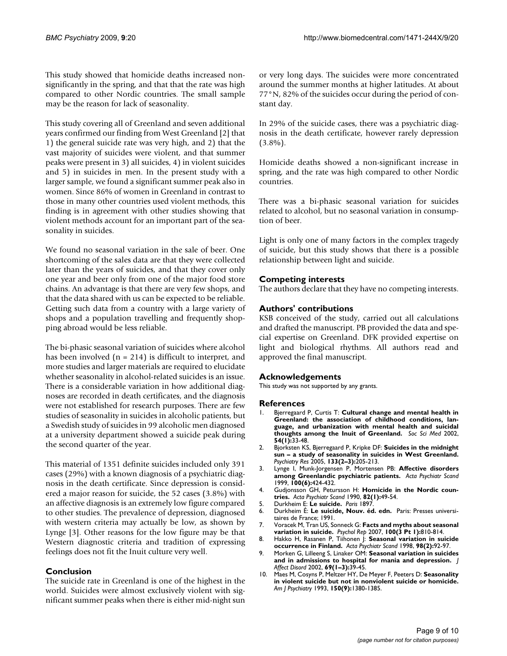This study showed that homicide deaths increased nonsignificantly in the spring, and that that the rate was high compared to other Nordic countries. The small sample may be the reason for lack of seasonality.

This study covering all of Greenland and seven additional years confirmed our finding from West Greenland [2] that 1) the general suicide rate was very high, and 2) that the vast majority of suicides were violent, and that summer peaks were present in 3) all suicides, 4) in violent suicides and 5) in suicides in men. In the present study with a larger sample, we found a significant summer peak also in women. Since 86% of women in Greenland in contrast to those in many other countries used violent methods, this finding is in agreement with other studies showing that violent methods account for an important part of the seasonality in suicides.

We found no seasonal variation in the sale of beer. One shortcoming of the sales data are that they were collected later than the years of suicides, and that they cover only one year and beer only from one of the major food store chains. An advantage is that there are very few shops, and that the data shared with us can be expected to be reliable. Getting such data from a country with a large variety of shops and a population travelling and frequently shopping abroad would be less reliable.

The bi-phasic seasonal variation of suicides where alcohol has been involved  $(n = 214)$  is difficult to interpret, and more studies and larger materials are required to elucidate whether seasonality in alcohol-related suicides is an issue. There is a considerable variation in how additional diagnoses are recorded in death certificates, and the diagnosis were not established for research purposes. There are few studies of seasonality in suicides in alcoholic patients, but a Swedish study of suicides in 99 alcoholic men diagnosed at a university department showed a suicide peak during the second quarter of the year.

This material of 1351 definite suicides included only 391 cases (29%) with a known diagnosis of a psychiatric diagnosis in the death certificate. Since depression is considered a major reason for suicide, the 52 cases (3.8%) with an affective diagnosis is an extremely low figure compared to other studies. The prevalence of depression, diagnosed with western criteria may actually be low, as shown by Lynge [3]. Other reasons for the low figure may be that Western diagnostic criteria and tradition of expressing feelings does not fit the Inuit culture very well.

#### **Conclusion**

The suicide rate in Greenland is one of the highest in the world. Suicides were almost exclusively violent with significant summer peaks when there is either mid-night sun

or very long days. The suicides were more concentrated around the summer months at higher latitudes. At about 77°N, 82% of the suicides occur during the period of constant day.

In 29% of the suicide cases, there was a psychiatric diagnosis in the death certificate, however rarely depression  $(3.8\%)$ .

Homicide deaths showed a non-significant increase in spring, and the rate was high compared to other Nordic countries.

There was a bi-phasic seasonal variation for suicides related to alcohol, but no seasonal variation in consumption of beer.

Light is only one of many factors in the complex tragedy of suicide, but this study shows that there is a possible relationship between light and suicide.

## **Competing interests**

The authors declare that they have no competing interests.

#### **Authors' contributions**

KSB conceived of the study, carried out all calculations and drafted the manuscript. PB provided the data and special expertise on Greenland. DFK provided expertise on light and biological rhythms. All authors read and approved the final manuscript.

#### **Acknowledgements**

This study was not supported by any grants.

#### **References**

- 1. Bjerregaard P, Curtis T: **[Cultural change and mental health in](http://www.ncbi.nlm.nih.gov/entrez/query.fcgi?cmd=Retrieve&db=PubMed&dopt=Abstract&list_uids=11820680) [Greenland: the association of childhood conditions, lan](http://www.ncbi.nlm.nih.gov/entrez/query.fcgi?cmd=Retrieve&db=PubMed&dopt=Abstract&list_uids=11820680)guage, and urbanization with mental health and suicidal [thoughts among the Inuit of Greenland.](http://www.ncbi.nlm.nih.gov/entrez/query.fcgi?cmd=Retrieve&db=PubMed&dopt=Abstract&list_uids=11820680)** *Soc Sci Med* 2002, **54(1):**33-48.
- 2. Bjorksten KS, Bjerregaard P, Kripke DF: **[Suicides in the midnight](http://www.ncbi.nlm.nih.gov/entrez/query.fcgi?cmd=Retrieve&db=PubMed&dopt=Abstract&list_uids=15740996) [sun – a study of seasonality in suicides in West Greenland.](http://www.ncbi.nlm.nih.gov/entrez/query.fcgi?cmd=Retrieve&db=PubMed&dopt=Abstract&list_uids=15740996)** *Psychiatry Res* 2005, **133(2–3):**205-213.
- 3. Lynge I, Munk-Jorgensen P, Mortensen PB: **[Affective disorders](http://www.ncbi.nlm.nih.gov/entrez/query.fcgi?cmd=Retrieve&db=PubMed&dopt=Abstract&list_uids=10626920) [among Greenlandic psychiatric patients.](http://www.ncbi.nlm.nih.gov/entrez/query.fcgi?cmd=Retrieve&db=PubMed&dopt=Abstract&list_uids=10626920)** *Acta Psychiatr Scand* 1999, **100(6):**424-432.
- 4. Gudjonsson GH, Petursson H: **[Homicide in the Nordic coun](http://www.ncbi.nlm.nih.gov/entrez/query.fcgi?cmd=Retrieve&db=PubMed&dopt=Abstract&list_uids=2205077)[tries.](http://www.ncbi.nlm.nih.gov/entrez/query.fcgi?cmd=Retrieve&db=PubMed&dopt=Abstract&list_uids=2205077)** *Acta Psychiatr Scand* 1990, **82(1):**49-54.
- 5. Durkheim E: **Le suicide.** *Paris* 1897.
- 6. Durkheim É: **Le suicide, Nouv. éd. edn.** Paris: Presses universitaires de France; 1991.
- 7. Voracek M, Tran US, Sonneck G: **[Facts and myths about seasonal](http://www.ncbi.nlm.nih.gov/entrez/query.fcgi?cmd=Retrieve&db=PubMed&dopt=Abstract&list_uids=17688099) [variation in suicide.](http://www.ncbi.nlm.nih.gov/entrez/query.fcgi?cmd=Retrieve&db=PubMed&dopt=Abstract&list_uids=17688099)** *Psychol Rep* 2007, **100(3 Pt 1):**810-814.
- 8. Hakko H, Rasanen P, Tiihonen J: **[Seasonal variation in suicide](http://www.ncbi.nlm.nih.gov/entrez/query.fcgi?cmd=Retrieve&db=PubMed&dopt=Abstract&list_uids=9718233) [occurrence in Finland.](http://www.ncbi.nlm.nih.gov/entrez/query.fcgi?cmd=Retrieve&db=PubMed&dopt=Abstract&list_uids=9718233)** *Acta Psychiatr Scand* 1998, **98(2):**92-97.
- 9. Morken G, Lilleeng S, Linaker OM: **[Seasonal variation in suicides](http://www.ncbi.nlm.nih.gov/entrez/query.fcgi?cmd=Retrieve&db=PubMed&dopt=Abstract&list_uids=12103450) [and in admissions to hospital for mania and depression.](http://www.ncbi.nlm.nih.gov/entrez/query.fcgi?cmd=Retrieve&db=PubMed&dopt=Abstract&list_uids=12103450)** *J Affect Disord* 2002, **69(1–3):**39-45.
- 10. Maes M, Cosyns P, Meltzer HY, De Meyer F, Peeters D: **[Seasonality](http://www.ncbi.nlm.nih.gov/entrez/query.fcgi?cmd=Retrieve&db=PubMed&dopt=Abstract&list_uids=8352350) [in violent suicide but not in nonviolent suicide or homicide.](http://www.ncbi.nlm.nih.gov/entrez/query.fcgi?cmd=Retrieve&db=PubMed&dopt=Abstract&list_uids=8352350)** *Am J Psychiatry* 1993, **150(9):**1380-1385.